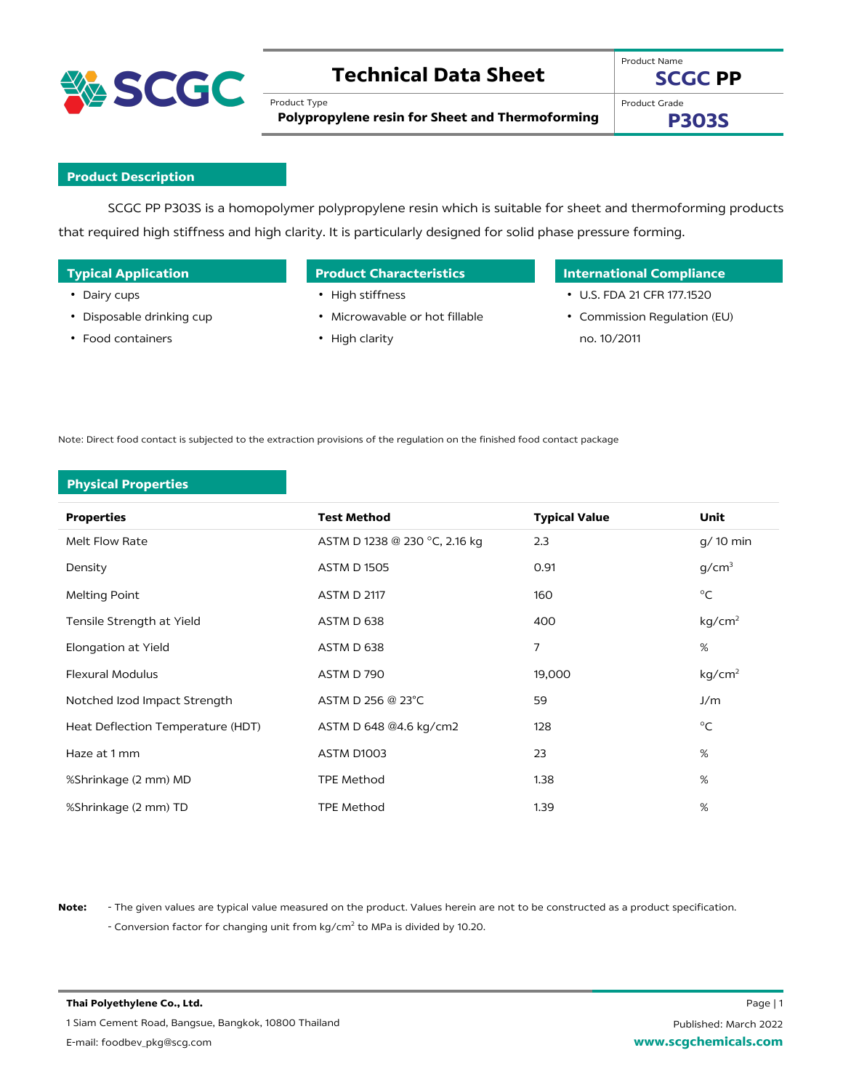

# **Technical Data Sheet**

Product Type

Product Name **SCGC PP**

**Polypropylene resin for Sheet and Thermoforming**

Product Grade

**P303S**

## **Product Description**

SCGC PP P303S is a homopolymer polypropylene resin which is suitable for sheet and thermoforming products that required high stiffness and high clarity. It is particularly designed for solid phase pressure forming.

|  |  | <b>Typical Application</b> |
|--|--|----------------------------|
|  |  |                            |
|  |  |                            |

• Food containers

• Disposable drinking cup

• Dairy cups

- 
- High stiffness
- Microwavable or hot fillable
- High clarity
- **Typical Applications Product Characteristics International Compliance** 
	- U.S. FDA 21 CFR 177.1520
	- Commission Regulation (EU) no. 10/2011

Note: Direct food contact is subjected to the extraction provisions of the regulation on the finished food contact package

## **Physical Properties**

| <b>Properties</b>                 | <b>Test Method</b>            | <b>Typical Value</b> | Unit               |
|-----------------------------------|-------------------------------|----------------------|--------------------|
| Melt Flow Rate                    | ASTM D 1238 @ 230 °C, 2.16 kg | 2.3                  | g/ 10 min          |
| Density                           | <b>ASTM D 1505</b>            | 0.91                 | g/cm <sup>3</sup>  |
| Melting Point                     | <b>ASTM D 2117</b>            | 160                  | $^{\circ}$ C       |
| Tensile Strength at Yield         | ASTM D 638                    | 400                  | kg/cm <sup>2</sup> |
| Elongation at Yield               | ASTM D 638                    | 7                    | %                  |
| <b>Flexural Modulus</b>           | ASTM D 790                    | 19,000               | kg/cm <sup>2</sup> |
| Notched Izod Impact Strength      | ASTM D 256 @ 23°C             | 59                   | J/m                |
| Heat Deflection Temperature (HDT) | ASTM D 648 @4.6 kg/cm2        | 128                  | $^{\circ}$ C       |
| Haze at 1 mm                      | ASTM D1003                    | 23                   | %                  |
| %Shrinkage (2 mm) MD              | <b>TPE Method</b>             | 1.38                 | %                  |
| %Shrinkage (2 mm) TD              | <b>TPE Method</b>             | 1.39                 | $\%$               |

**Note:** - The given values are typical value measured on the product. Values herein are not to be constructed as a product specification. - Conversion factor for changing unit from kg/cm<sup>2</sup> to MPa is divided by 10.20.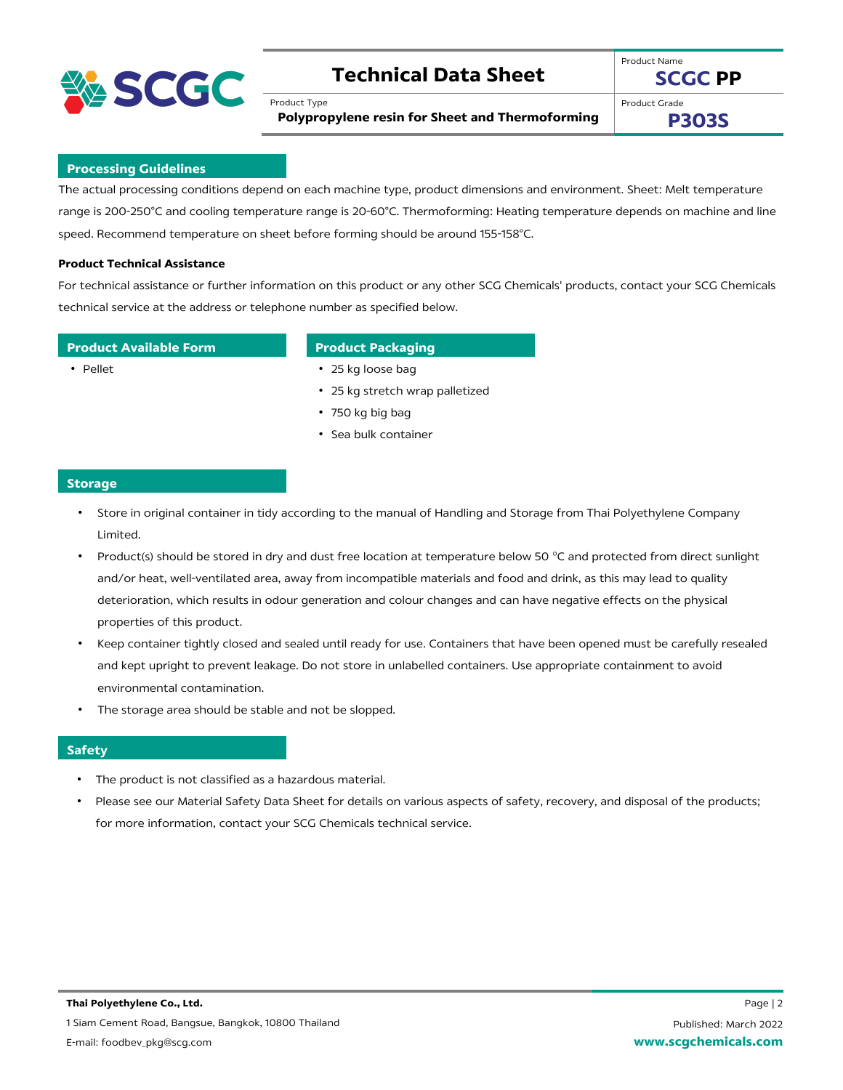

# **Technical Data Sheet**

Product Type

Product Name **SCGC PP**

**Polypropylene resin for Sheet and Thermoforming**

Product Grade

**P303S**

### **Processing Guidelines**

The actual processing conditions depend on each machine type, product dimensions and environment. Sheet: Melt temperature range is 200-250°C and cooling temperature range is 20-60°C. Thermoforming: Heating temperature depends on machine and line speed. Recommend temperature on sheet before forming should be around 155-158°C.

### **Product Technical Assistance**

For technical assistance or further information on this product or any other SCG Chemicals' products, contact your SCG Chemicals technical service at the address or telephone number as specified below.

### **Product Available Form Product Packaging**

- 
- Pellet 25 kg loose bag
	- 25 kg stretch wrap palletized
	- 750 kg big bag
	- Sea bulk container

### **Storage**

- Store in original container in tidy according to the manual of Handling and Storage from Thai Polyethylene Company Limited.
- Product(s) should be stored in dry and dust free location at temperature below 50 °C and protected from direct sunlight and/or heat, well-ventilated area, away from incompatible materials and food and drink, as this may lead to quality deterioration, which results in odour generation and colour changes and can have negative effects on the physical properties of this product.
- Keep container tightly closed and sealed until ready for use. Containers that have been opened must be carefully resealed and kept upright to prevent leakage. Do not store in unlabelled containers. Use appropriate containment to avoid environmental contamination.
- The storage area should be stable and not be slopped.

### **Safety**

- The product is not classified as a hazardous material.
- Please see our Material Safety Data Sheet for details on various aspects of safety, recovery, and disposal of the products; for more information, contact your SCG Chemicals technical service.